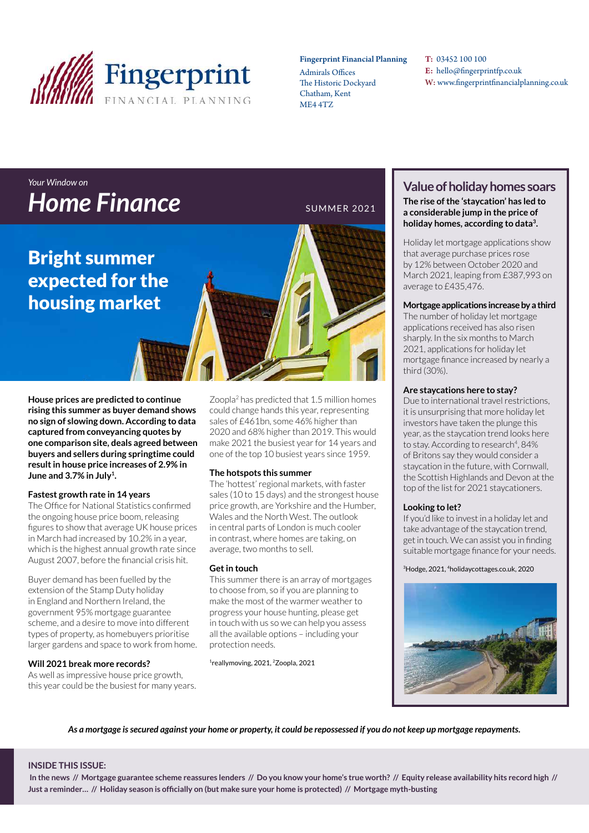

#### Fingerprint Financial Planning

Admirals Offices The Historic Dockyard Chatham, Kent ME4 4TZ

T: 03452 100 100 E: hello@fingerprintfp.co.uk W: www.fingerprintfinancialplanning.co.uk

### *Your Window on*  **Home Finance** SUMMER 2021

### Bright summer expected for the housing market

**House prices are predicted to continue rising this summer as buyer demand shows no sign of slowing down. According to data captured from conveyancing quotes by one comparison site, deals agreed between buyers and sellers during springtime could result in house price increases of 2.9% in June and 3.7% in July<sup>1</sup> .**

#### **Fastest growth rate in 14 years**

The Office for National Statistics confirmed the ongoing house price boom, releasing figures to show that average UK house prices in March had increased by 10.2% in a year, which is the highest annual growth rate since August 2007, before the financial crisis hit.

Buyer demand has been fuelled by the extension of the Stamp Duty holiday in England and Northern Ireland, the government 95% mortgage guarantee scheme, and a desire to move into different types of property, as homebuyers prioritise larger gardens and space to work from home.

#### **Will 2021 break more records?**

As well as impressive house price growth, this year could be the busiest for many years.

Zoopla<sup>2</sup> has predicted that 1.5 million homes could change hands this year, representing sales of £461bn, some 46% higher than 2020 and 68% higher than 2019. This would make 2021 the busiest year for 14 years and one of the top 10 busiest years since 1959.

#### **The hotspots this summer**

The 'hottest' regional markets, with faster sales (10 to 15 days) and the strongest house price growth, are Yorkshire and the Humber, Wales and the North West. The outlook in central parts of London is much cooler in contrast, where homes are taking, on average, two months to sell.

#### **Get in touch**

This summer there is an array of mortgages to choose from, so if you are planning to make the most of the warmer weather to progress your house hunting, please get in touch with us so we can help you assess all the available options – including your protection needs.

1 reallymoving, 2021, 2Zoopla, 2021

### **Value of holiday homes soars**

**The rise of the 'staycation' has led to a considerable jump in the price of holiday homes, according to data<sup>3</sup> .** 

Holiday let mortgage applications show that average purchase prices rose by 12% between October 2020 and March 2021, leaping from £387,993 on average to £435,476.

#### **Mortgage applications increase by a third**

The number of holiday let mortgage applications received has also risen sharply. In the six months to March 2021, applications for holiday let mortgage finance increased by nearly a third (30%).

#### **Are staycations here to stay?**

Due to international travel restrictions, it is unsurprising that more holiday let investors have taken the plunge this year, as the staycation trend looks here to stay. According to research<sup>4</sup>, 84% of Britons say they would consider a staycation in the future, with Cornwall, the Scottish Highlands and Devon at the top of the list for 2021 staycationers.

#### **Looking to let?**

If you'd like to invest in a holiday let and take advantage of the staycation trend, get in touch. We can assist you in finding suitable mortgage finance for your needs.

#### <sup>3</sup>Hodge, 2021, 4holidaycottages.co.uk, 2020



*As a mortgage is secured against your home or property, it could be repossessed if you do not keep up mortgage repayments.*

#### **INSIDE THIS ISSUE:**

 **In the news // Mortgage guarantee scheme reassures lenders // Do you know your home's true worth? // Equity release availability hits record high // Just a reminder… // Holiday season is officially on (but make sure your home is protected) // Mortgage myth-busting**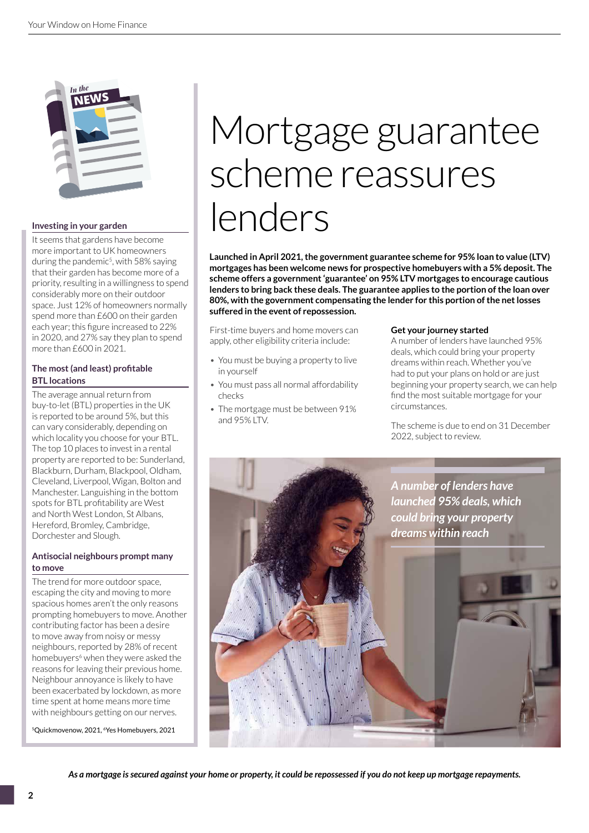

#### **Investing in your garden**

It seems that gardens have become more important to UK homeowners during the pandemic<sup>5</sup>, with 58% saying that their garden has become more of a priority, resulting in a willingness to spend considerably more on their outdoor space. Just 12% of homeowners normally spend more than £600 on their garden each year; this figure increased to 22% in 2020, and 27% say they plan to spend more than £600 in 2021.

#### **The most (and least) profitable BTL locations**

The average annual return from buy-to-let (BTL) properties in the UK is reported to be around 5%, but this can vary considerably, depending on which locality you choose for your BTL. The top 10 places to invest in a rental property are reported to be: Sunderland, Blackburn, Durham, Blackpool, Oldham, Cleveland, Liverpool, Wigan, Bolton and Manchester. Languishing in the bottom spots for BTL profitability are West and North West London, St Albans, Hereford, Bromley, Cambridge, Dorchester and Slough.

#### **Antisocial neighbours prompt many to move**

The trend for more outdoor space, escaping the city and moving to more spacious homes aren't the only reasons prompting homebuyers to move. Another contributing factor has been a desire to move away from noisy or messy neighbours, reported by 28% of recent homebuyers<sup>6</sup> when they were asked the reasons for leaving their previous home. Neighbour annoyance is likely to have been exacerbated by lockdown, as more time spent at home means more time with neighbours getting on our nerves.

<sup>5</sup>Quickmovenow, 2021, <sup>6</sup>Yes Homebuyers, 2021

# Mortgage guarantee scheme reassures lenders

**Launched in April 2021, the government guarantee scheme for 95% loan to value (LTV) mortgages has been welcome news for prospective homebuyers with a 5% deposit. The scheme offers a government 'guarantee' on 95% LTV mortgages to encourage cautious lenders to bring back these deals. The guarantee applies to the portion of the loan over 80%, with the government compensating the lender for this portion of the net losses suffered in the event of repossession.**

First-time buyers and home movers can apply, other eligibility criteria include:

- You must be buying a property to live in yourself
- You must pass all normal affordability checks
- The mortgage must be between 91% and 95% LTV.

#### **Get your journey started**

A number of lenders have launched 95% deals, which could bring your property dreams within reach. Whether you've had to put your plans on hold or are just beginning your property search, we can help find the most suitable mortgage for your circumstances.

The scheme is due to end on 31 December 2022, subject to review.



*As a mortgage is secured against your home or property, it could be repossessed if you do not keep up mortgage repayments.*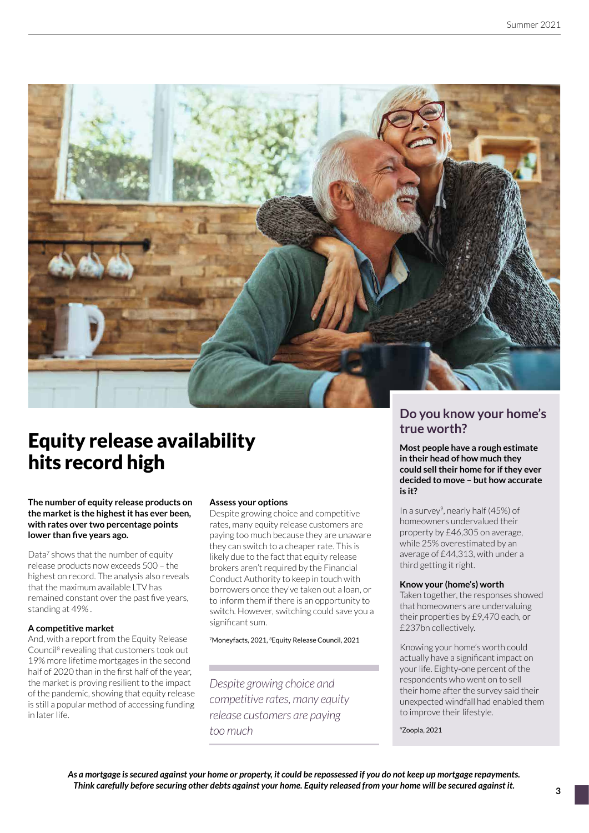

# **Equity release availability** hits record high

#### **The number of equity release products on the market is the highest it has ever been, with rates over two percentage points lower than five years ago.**

Data<sup>7</sup> shows that the number of equity release products now exceeds 500 – the highest on record. The analysis also reveals that the maximum available LTV has remained constant over the past five years, standing at 49% .

#### **A competitive market**

And, with a report from the Equity Release Council<sup>8</sup> revealing that customers took out 19% more lifetime mortgages in the second half of 2020 than in the first half of the year, the market is proving resilient to the impact of the pandemic, showing that equity release is still a popular method of accessing funding in later life.

#### **Assess your options**

Despite growing choice and competitive rates, many equity release customers are paying too much because they are unaware they can switch to a cheaper rate. This is likely due to the fact that equity release brokers aren't required by the Financial Conduct Authority to keep in touch with borrowers once they've taken out a loan, or to inform them if there is an opportunity to switch. However, switching could save you a significant sum.

7Moneyfacts, 2021, 8Equity Release Council, 2021

*Despite growing choice and competitive rates, many equity release customers are paying too much*

# **Do you know your home's**

**Most people have a rough estimate in their head of how much they could sell their home for if they ever decided to move – but how accurate is it?** 

In a survey<sup>9</sup>, nearly half (45%) of homeowners undervalued their property by £46,305 on average, while 25% overestimated by an average of £44,313, with under a third getting it right.

#### **Know your (home's) worth**

Taken together, the responses showed that homeowners are undervaluing their properties by £9,470 each, or £237bn collectively.

Knowing your home's worth could actually have a significant impact on your life. Eighty-one percent of the respondents who went on to sell their home after the survey said their unexpected windfall had enabled them to improve their lifestyle.

<sup>9</sup>Zoopla, 2021

*As a mortgage is secured against your home or property, it could be repossessed if you do not keep up mortgage repayments. Think carefully before securing other debts against your home. Equity released from your home will be secured against it.*